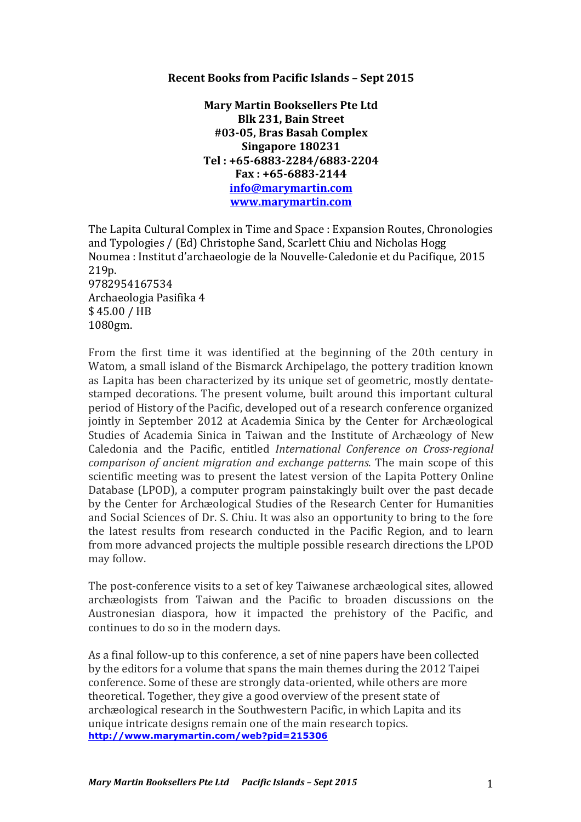## **Recent Books from Pacific Islands – Sept 2015**

**Mary Martin Booksellers Pte Ltd Blk 231, Bain Street #03-05, Bras Basah Complex Singapore 180231 Tel : +65-6883-2284/6883-2204 Fax : +65-6883-2144 info@marymartin.com www.marymartin.com**

The Lapita Cultural Complex in Time and Space : Expansion Routes, Chronologies and Typologies / (Ed) Christophe Sand, Scarlett Chiu and Nicholas Hogg Noumea : Institut d'archaeologie de la Nouvelle-Caledonie et du Pacifique, 2015 219p. 9782954167534 Archaeologia Pasifika 4 \$ 45.00 / HB 1080gm.

From the first time it was identified at the beginning of the 20th century in Watom, a small island of the Bismarck Archipelago, the pottery tradition known as Lapita has been characterized by its unique set of geometric, mostly dentatestamped decorations. The present volume, built around this important cultural period of History of the Pacific, developed out of a research conference organized jointly in September 2012 at Academia Sinica by the Center for Archæological Studies of Academia Sinica in Taiwan and the Institute of Archæology of New Caledonia and the Pacific, entitled *International Conference on Cross-regional comparison of ancient migration and exchange patterns*. The main scope of this scientific meeting was to present the latest version of the Lapita Pottery Online Database (LPOD), a computer program painstakingly built over the past decade by the Center for Archæological Studies of the Research Center for Humanities and Social Sciences of Dr. S. Chiu. It was also an opportunity to bring to the fore the latest results from research conducted in the Pacific Region, and to learn from more advanced projects the multiple possible research directions the LPOD may follow.

The post-conference visits to a set of key Taiwanese archæological sites, allowed archæologists from Taiwan and the Pacific to broaden discussions on the Austronesian diaspora, how it impacted the prehistory of the Pacific, and continues to do so in the modern days.

As a final follow-up to this conference, a set of nine papers have been collected by the editors for a volume that spans the main themes during the 2012 Taipei conference. Some of these are strongly data-oriented, while others are more theoretical. Together, they give a good overview of the present state of archæological research in the Southwestern Pacific, in which Lapita and its unique intricate designs remain one of the main research topics. **http://www.marymartin.com/web?pid=215306**